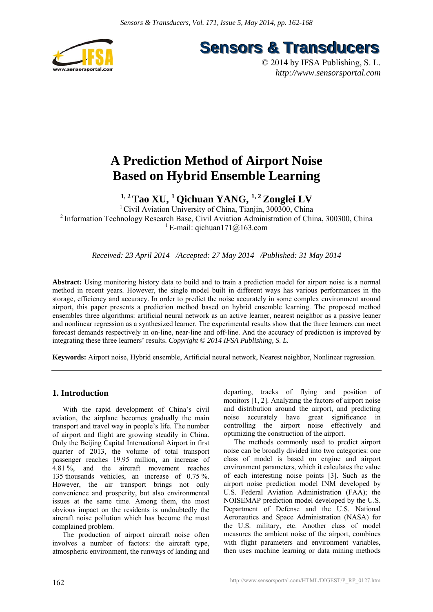

**Sensors & Transducers** 

© 2014 by IFSA Publishing, S. L. *http://www.sensorsportal.com*

# **A Prediction Method of Airport Noise Based on Hybrid Ensemble Learning**

**1, 2 Tao XU, 1 Qichuan YANG, 1, 2 Zonglei LV** 

<sup>1</sup> Civil Aviation University of China, Tianjin, 300300, China 2 Information Technology Research Base, Civil Aviation Administration of China, 300300, China <sup>1</sup> E-mail: qichuan171@163.com

*Received: 23 April 2014 /Accepted: 27 May 2014 /Published: 31 May 2014* 

**Abstract:** Using monitoring history data to build and to train a prediction model for airport noise is a normal method in recent years. However, the single model built in different ways has various performances in the storage, efficiency and accuracy. In order to predict the noise accurately in some complex environment around airport, this paper presents a prediction method based on hybrid ensemble learning. The proposed method ensembles three algorithms: artificial neural network as an active learner, nearest neighbor as a passive leaner and nonlinear regression as a synthesized learner. The experimental results show that the three learners can meet forecast demands respectively in on-line, near-line and off-line. And the accuracy of prediction is improved by integrating these three learners' results. *Copyright © 2014 IFSA Publishing, S. L.*

**Keywords:** Airport noise, Hybrid ensemble, Artificial neural network, Nearest neighbor, Nonlinear regression.

# **1. Introduction**

With the rapid development of China's civil aviation, the airplane becomes gradually the main transport and travel way in people's life. The number of airport and flight are growing steadily in China. Only the Beijing Capital International Airport in first quarter of 2013, the volume of total transport passenger reaches 19.95 million, an increase of 4.81 %, and the aircraft movement reaches 135 thousands vehicles, an increase of 0.75 %. However, the air transport brings not only convenience and prosperity, but also environmental issues at the same time. Among them, the most obvious impact on the residents is undoubtedly the aircraft noise pollution which has become the most complained problem.

The production of airport aircraft noise often involves a number of factors: the aircraft type, atmospheric environment, the runways of landing and departing, tracks of flying and position of monitors [1, 2]. Analyzing the factors of airport noise and distribution around the airport, and predicting noise accurately have great significance in controlling the airport noise effectively and optimizing the construction of the airport.

The methods commonly used to predict airport noise can be broadly divided into two categories: one class of model is based on engine and airport environment parameters, which it calculates the value of each interesting noise points [3]. Such as the airport noise prediction model INM developed by U.S. Federal Aviation Administration (FAA); the NOISEMAP prediction model developed by the U.S. Department of Defense and the U.S. National Aeronautics and Space Administration (NASA) for the U.S. military, etc. Another class of model measures the ambient noise of the airport, combines with flight parameters and environment variables, then uses machine learning or data mining methods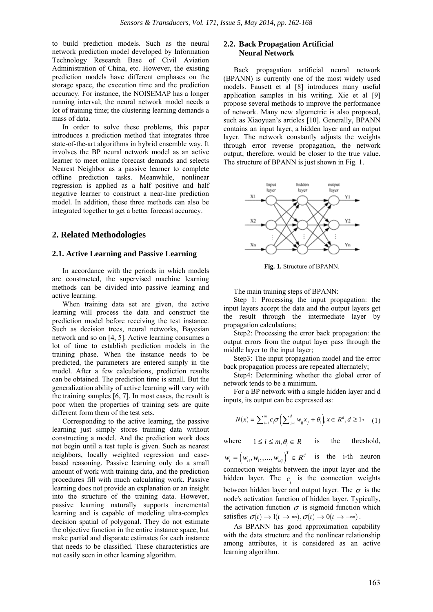to build prediction models. Such as the neural network prediction model developed by Information Technology Research Base of Civil Aviation Administration of China, etc. However, the existing prediction models have different emphases on the storage space, the execution time and the prediction accuracy. For instance, the NOISEMAP has a longer running interval; the neural network model needs a lot of training time; the clustering learning demands a mass of data.

In order to solve these problems, this paper introduces a prediction method that integrates three state-of-the-art algorithms in hybrid ensemble way. It involves the BP neural network model as an active learner to meet online forecast demands and selects Nearest Neighbor as a passive learner to complete offline prediction tasks. Meanwhile, nonlinear regression is applied as a half positive and half negative learner to construct a near-line prediction model. In addition, these three methods can also be integrated together to get a better forecast accuracy.

## **2. Related Methodologies**

#### **2.1. Active Learning and Passive Learning**

In accordance with the periods in which models are constructed, the supervised machine learning methods can be divided into passive learning and active learning.

When training data set are given, the active learning will process the data and construct the prediction model before receiving the test instance. Such as decision trees, neural networks, Bayesian network and so on [4, 5]. Active learning consumes a lot of time to establish prediction models in the training phase. When the instance needs to be predicted, the parameters are entered simply in the model. After a few calculations, prediction results can be obtained. The prediction time is small. But the generalization ability of active learning will vary with the training samples [6, 7]. In most cases, the result is poor when the properties of training sets are quite different form them of the test sets.

Corresponding to the active learning, the passive learning just simply stores training data without constructing a model. And the prediction work does not begin until a test tuple is given. Such as nearest neighbors, locally weighted regression and casebased reasoning. Passive learning only do a small amount of work with training data, and the prediction procedures fill with much calculating work. Passive learning does not provide an explanation or an insight into the structure of the training data. However, passive learning naturally supports incremental learning and is capable of modeling ultra-complex decision spatial of polygonal. They do not estimate the objective function in the entire instance space, but make partial and disparate estimates for each instance that needs to be classified. These characteristics are not easily seen in other learning algorithm.

# **2.2. Back Propagation Artificial Neural Network**

Back propagation artificial neural network (BPANN) is currently one of the most widely used models. Fausett et al [8] introduces many useful application samples in his writing. Xie et al [9] propose several methods to improve the performance of network. Many new algometric is also proposed, such as Xiaoyuan's articles [10]. Generally, BPANN contains an input layer, a hidden layer and an output layer. The network constantly adjusts the weights through error reverse propagation, the network output, therefore, would be closer to the true value. The structure of BPANN is just shown in Fig. 1.



**Fig. 1.** Structure of BPANN.

The main training steps of BPANN:

Step 1: Processing the input propagation: the input layers accept the data and the output layers get the result through the intermediate layer by propagation calculations;

Step2: Processing the error back propagation: the output errors from the output layer pass through the middle layer to the input layer;

Step3: The input propagation model and the error back propagation process are repeated alternately;

Step4: Determining whether the global error of network tends to be a minimum.

For a BP network with a single hidden layer and d inputs, its output can be expressed as:

$$
N(x) = \sum_{i=1}^{m} c_i \sigma \left( \sum_{j=1}^{d} w_{ij} x_j + \theta_i \right), x \in R^d, d \ge 1
$$
 (1)

where  $1 \le i \le m, \theta \in R$  is the threshold,

 $w_i = (w_{i1}, w_{i2}, \dots, w_{id})^T \in R^d$  is the i-th neuron connection weights between the input layer and the hidden layer. The  $c_i$  is the connection weights between hidden layer and output layer. The  $\sigma$  is the node's activation function of hidden layer. Typically, the activation function  $\sigma$  is sigmoid function which satisfies  $\sigma(t) \rightarrow 1 (t \rightarrow \infty), \sigma(t) \rightarrow 0 (t \rightarrow -\infty)$ .

As BPANN has good approximation capability with the data structure and the nonlinear relationship among attributes, it is considered as an active learning algorithm.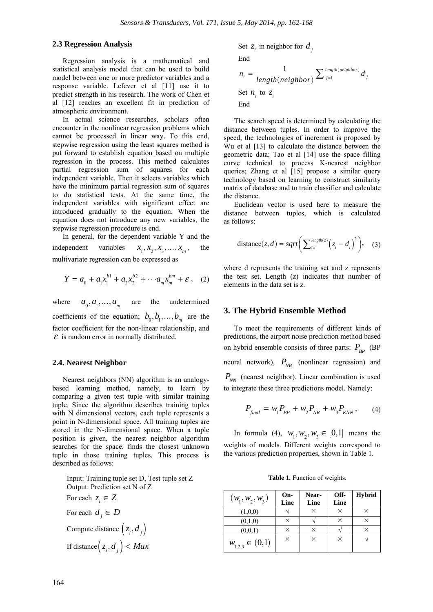## **2.3 Regression Analysis**

Regression analysis is a mathematical and statistical analysis model that can be used to build model between one or more predictor variables and a response variable. Lefever et al [11] use it to predict strength in his research. The work of Chen et al [12] reaches an excellent fit in prediction of atmospheric environment.

In actual science researches, scholars often encounter in the nonlinear regression problems which cannot be processed in linear way. To this end, stepwise regression using the least squares method is put forward to establish equation based on multiple regression in the process. This method calculates partial regression sum of squares for each independent variable. Then it selects variables which have the minimum partial regression sum of squares to do statistical tests. At the same time, the independent variables with significant effect are introduced gradually to the equation. When the equation does not introduce any new variables, the stepwise regression procedure is end.

In general, for the dependent variable Y and the independent variables  $x_1, x_2, x_3, ..., x_m$ , the multivariate regression can be expressed as

$$
Y = a_0 + a_1 x_1^{b_1} + a_2 x_2^{b_2} + \cdots + a_m x_m^{bm} + \varepsilon \,, \quad (2)
$$

where  $a_0, a_1, \ldots, a_m$  are the undetermined coefficients of the equation;  $b_0, b_1, \ldots, b_m$  are the factor coefficient for the non-linear relationship, and  $\mathcal E$  is random error in normally distributed.

## **2.4. Nearest Neighbor**

Nearest neighbors (NN) algorithm is an analogybased learning method, namely, to learn by comparing a given test tuple with similar training tuple. Since the algorithm describes training tuples with N dimensional vectors, each tuple represents a point in N-dimensional space. All training tuples are stored in the N-dimensional space. When a tuple position is given, the nearest neighbor algorithm searches for the space, finds the closest unknown tuple in those training tuples. This process is described as follows:

Input: Training tuple set D, Test tuple set Z Output: Prediction set N of Z For each  $z_i \in Z$ For each  $d_i \in D$ Compute distance  $(z_i, d_j)$ If distance  $(z_i, d_i) < Max$ 

Set  $z_i$  in neighbor for  $d_i$ 

End  
\n
$$
n_i = \frac{1}{length(neighbour)} \sum_{j=1}^{length(neighbour)} d_j
$$
\nSet  $n_i$  to  $z_i$   
\nEnd

The search speed is determined by calculating the distance between tuples. In order to improve the speed, the technologies of increment is proposed by Wu et al [13] to calculate the distance between the geometric data; Tao et al [14] use the space filling curve technical to process K-nearest neighbor queries; Zhang et al [15] propose a similar query technology based on learning to construct similarity matrix of database and to train classifier and calculate the distance.

Euclidean vector is used here to measure the distance between tuples, which is calculated as follows:

distance
$$
(z,d) = sqrt\left(\sum_{i=1}^{length(z)} (z_i - d_i)^2\right)
$$
, (3)

where d represents the training set and z represents the test set. Length (z) indicates that number of elements in the data set is z.

#### **3. The Hybrid Ensemble Method**

To meet the requirements of different kinds of predictions, the airport noise prediction method based on hybrid ensemble consists of three parts:  $P_{\mu \nu}$  (BP) neural network),  $P_{NR}$  (nonlinear regression) and  $P_{NN}$  (nearest neighbor). Linear combination is used to integrate these three predictions model. Namely:

$$
P_{\text{final}} = w_1 P_{\text{BP}} + w_2 P_{\text{NR}} + w_3 P_{\text{KNN}} ,\qquad (4)
$$

In formula (4),  $w_1, w_2, w_3 \in [0,1]$  means the weights of models. Different weights correspond to the various prediction properties, shown in Table 1.

**Table 1.** Function of weights.

| $(w_1, w_2, w_3)$     | On-<br>Line | Near-<br>Line | Off-<br>Line | <b>Hybrid</b> |
|-----------------------|-------------|---------------|--------------|---------------|
| (1,0,0)               | ٦           |               |              |               |
| (0,1,0)               | ×           |               | ×            | $\times$      |
| (0,0,1)               | ×           |               |              |               |
| $w_{1,2,3} \in (0,1)$ | ×           | ×             | ×            |               |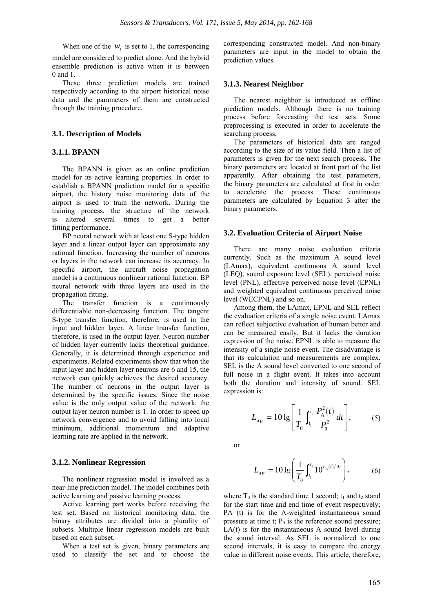When one of the  $w_i$  is set to 1, the corresponding

model are considered to predict alone. And the hybrid ensemble prediction is active when it is between 0 and 1.

These three prediction models are trained respectively according to the airport historical noise data and the parameters of them are constructed through the training procedure.

#### **3.1. Description of Models**

#### **3.1.1. BPANN**

The BPANN is given as an online prediction model for its active learning properties. In order to establish a BPANN prediction model for a specific airport, the history noise monitoring data of the airport is used to train the network. During the training process, the structure of the network is altered several times to get a better fitting performance.

BP neural network with at least one S-type hidden layer and a linear output layer can approximate any rational function. Increasing the number of neurons or layers in the network can increase its accuracy. In specific airport, the aircraft noise propagation model is a continuous nonlinear rational function. BP neural network with three layers are used in the propagation fitting.

The transfer function is a continuously differentiable non-decreasing function. The tangent S-type transfer function, therefore, is used in the input and hidden layer. A linear transfer function, therefore, is used in the output layer. Neuron number of hidden layer currently lacks theoretical guidance. Generally, it is determined through experience and experiments. Related experiments show that when the input layer and hidden layer neurons are 6 and 15, the network can quickly achieves the desired accuracy. The number of neurons in the output layer is determined by the specific issues. Since the noise value is the only output value of the network, the output layer neuron number is 1. In order to speed up network convergence and to avoid falling into local minimum, additional momentum and adaptive learning rate are applied in the network.

#### **3.1.2. Nonlinear Regression**

The nonlinear regression model is involved as a near-line prediction model. The model combines both active learning and passive learning process.

Active learning part works before receiving the test set. Based on historical monitoring data, the binary attributes are divided into a plurality of subsets. Multiple linear regression models are built based on each subset.

When a test set is given, binary parameters are used to classify the set and to choose the

corresponding constructed model. And non-binary parameters are input in the model to obtain the prediction values.

#### **3.1.3. Nearest Neighbor**

The nearest neighbor is introduced as offline prediction models. Although there is no training process before forecasting the test sets. Some preprocessing is executed in order to accelerate the searching process.

The parameters of historical data are ranged according to the size of its value field. Then a list of parameters is given for the next search process. The binary parameters are located at front part of the list apparently. After obtaining the test parameters, the binary parameters are calculated at first in order to accelerate the process. These continuous parameters are calculated by Equation 3 after the binary parameters.

#### **3.2. Evaluation Criteria of Airport Noise**

There are many noise evaluation criteria currently. Such as the maximum A sound level (LAmax), equivalent continuous A sound level (LEQ), sound exposure level (SEL), perceived noise level (PNL), effective perceived noise level (EPNL) and weighted equivalent continuous perceived noise level (WECPNL) and so on.

Among them, the LAmax, EPNL and SEL reflect the evaluation criteria of a single noise event. LAmax can reflect subjective evaluation of human better and can be measured easily. But it lacks the duration expression of the noise. EPNL is able to measure the intensity of a single noise event. The disadvantage is that its calculation and measurements are complex. SEL is the A sound level converted to one second of full noise in a flight event. It takes into account both the duration and intensity of sound. SEL expression is:

$$
L_{AE} = 10 \lg \left[ \frac{1}{T_0} \int_{t_1}^{t_2} \frac{P_A^2(t)}{P_0^2} dt \right],
$$
 (5)

or

$$
L_{AE} = 10 \lg \left( \frac{1}{T_0} \int_{t_1}^{t_2} 10^{L_A(t)/10} \right), \tag{6}
$$

where  $T_0$  is the standard time 1 second;  $t_1$  and  $t_2$  stand for the start time and end time of event respectively; PA (t) is for the A-weighted instantaneous sound pressure at time t;  $P_0$  is the reference sound pressure; LA(t) is for the instantaneous A sound level during the sound interval. As SEL is normalized to one second intervals, it is easy to compare the energy value in different noise events. This article, therefore,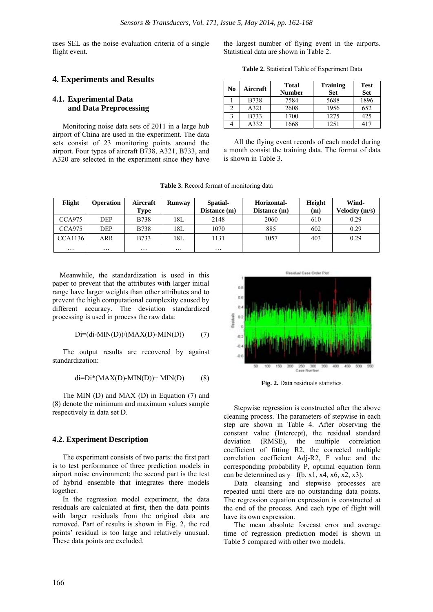uses SEL as the noise evaluation criteria of a single flight event.

**4. Experiments and Results** 

## **4.1. Experimental Data and Data Preprocessing**

Monitoring noise data sets of 2011 in a large hub airport of China are used in the experiment. The data sets consist of 23 monitoring points around the airport. Four types of aircraft B738, A321, B733, and A320 are selected in the experiment since they have

the largest number of flying event in the airports. Statistical data are shown in Table 2.

**Table 2.** Statistical Table of Experiment Data

| No | Aircraft    | <b>Total</b><br><b>Number</b> | <b>Training</b><br><b>Set</b> | <b>Test</b><br><b>Set</b> |  |
|----|-------------|-------------------------------|-------------------------------|---------------------------|--|
|    | <b>B738</b> | 7584                          | 5688                          | 1896                      |  |
|    | A321        | 2608                          | 1956                          | 652                       |  |
|    | <b>B733</b> | 1700                          | 1275                          | 425                       |  |
|    | A332        | 1668                          | 1251                          |                           |  |

All the flying event records of each model during a month consist the training data. The format of data is shown in Table 3.

| Flight         | Operation           | Aircraft<br>Type    | Runway   | Spatial-<br>Distance (m) | Horizontal-<br>Distance (m) | Height<br>(m) | Wind-<br>Velocity (m/s) |
|----------------|---------------------|---------------------|----------|--------------------------|-----------------------------|---------------|-------------------------|
| CCA975         | DEP                 | B738                | 18L      | 2148                     | 2060                        | 610           | 0.29                    |
| CCA975         | <b>DEP</b>          | <b>B738</b>         | 18L      | 1070                     | 885                         | 602           | 0.29                    |
| <b>CCA1136</b> | ARR                 | B733                | 18L      | 1131                     | 1057                        | 403           | 0.29                    |
| $\cdots$       | $\cdot \cdot \cdot$ | $\cdot \cdot \cdot$ | $\cdots$ | $\cdots$                 |                             |               |                         |

**Table 3.** Record format of monitoring data

Meanwhile, the standardization is used in this paper to prevent that the attributes with larger initial range have larger weights than other attributes and to prevent the high computational complexity caused by different accuracy. The deviation standardized processing is used in process the raw data:

$$
Di = (di - MIN(D))/(MAX(D) - MIN(D)) \tag{7}
$$

The output results are recovered by against standardization:

$$
di=Di*(MAX(D)-MIN(D))+MIN(D)
$$
 (8)

The MIN (D) and MAX (D) in Equation (7) and (8) denote the minimum and maximum values sample respectively in data set D.

#### **4.2. Experiment Description**

The experiment consists of two parts: the first part is to test performance of three prediction models in airport noise environment; the second part is the test of hybrid ensemble that integrates there models together.

In the regression model experiment, the data residuals are calculated at first, then the data points with larger residuals from the original data are removed. Part of results is shown in Fig. 2, the red points' residual is too large and relatively unusual. These data points are excluded.



**Fig. 2.** Data residuals statistics.

Stepwise regression is constructed after the above cleaning process. The parameters of stepwise in each step are shown in Table 4. After observing the constant value (Intercept), the residual standard deviation (RMSE), the multiple correlation coefficient of fitting R2, the corrected multiple correlation coefficient Adj-R2, F value and the corresponding probability P, optimal equation form can be determined as  $y=f(b, x1, x4, x6, x2, x3)$ .

Data cleansing and stepwise processes are repeated until there are no outstanding data points. The regression equation expression is constructed at the end of the process. And each type of flight will have its own expression.

The mean absolute forecast error and average time of regression prediction model is shown in Table 5 compared with other two models.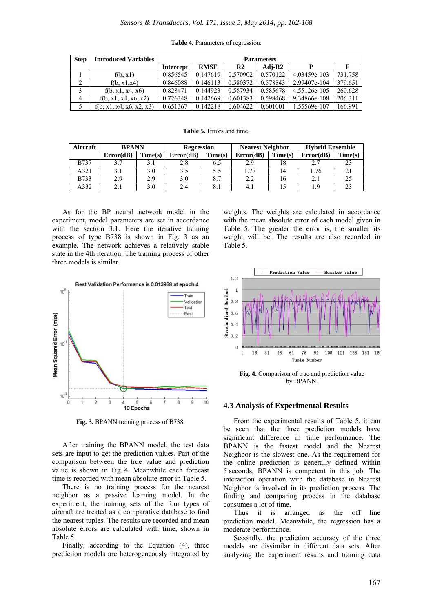| <b>Step</b> | <b>Introduced Variables</b> | <b>Parameters</b> |             |                |          |              |         |  |
|-------------|-----------------------------|-------------------|-------------|----------------|----------|--------------|---------|--|
|             |                             | <b>Intercept</b>  | <b>RMSE</b> | R <sub>2</sub> | Adi-R2   | D            |         |  |
|             | f(b, x1)                    | 0.856545          | 0.147619    | 0.570902       | 0.570122 | 4.03459e-103 | 731.758 |  |
| 2           | f(b, x1, x4)                | 0.846088          | 0.146113    | 0.580372       | 0.578843 | 2.99407e-104 | 379.651 |  |
|             | f(b, x1, x4, x6)            | 0.828471          | 0.144923    | 0.587934       | 0.585678 | 4.55126e-105 | 260.628 |  |
| 4           | f(b, x1, x4, x6, x2)        | 0.726348          | 0.142669    | 0.601383       | 0.598468 | 9.34866e-108 | 206.311 |  |
|             | f(b, x1, x4, x6, x2, x3)    | 0.651367          | 0.142218    | 0.604622       | 0.601001 | 1.55569e-107 | 166.991 |  |

#### **Table 4.** Parameters of regression.

#### **Table 5.** Errors and time.

| Aircraft    | <b>BPANN</b> |         | <b>Regression</b> |                 | <b>Nearest Neighbor</b> |         | <b>Hybrid Ensemble</b> |         |
|-------------|--------------|---------|-------------------|-----------------|-------------------------|---------|------------------------|---------|
|             | Error(dB)    | Time(s) | Error(dB)         | Time(s)         | Error(dB)               | Time(s) | Error(dB)              | Time(s) |
| <b>B737</b> |              |         |                   | 6.5             | 2.9                     |         |                        |         |
| A321        |              | 3.0     |                   |                 | 77                      | 14      | .76                    |         |
| <b>B733</b> | 2.9          | 2.9     |                   | $\Omega$ $\tau$ | ົ<br>2.2                | 16      | 2.1                    |         |
| 4332        |              | 3.0     |                   |                 | 4.1                     |         |                        |         |

As for the BP neural network model in the experiment, model parameters are set in accordance with the section 3.1. Here the iterative training process of type B738 is shown in Fig. 3 as an example. The network achieves a relatively stable state in the 4th iteration. The training process of other three models is similar.



**Fig. 3.** BPANN training process of B738.

After training the BPANN model, the test data sets are input to get the prediction values. Part of the comparison between the true value and prediction value is shown in Fig. 4. Meanwhile each forecast time is recorded with mean absolute error in Table 5.

There is no training process for the nearest neighbor as a passive learning model. In the experiment, the training sets of the four types of aircraft are treated as a comparative database to find the nearest tuples. The results are recorded and mean absolute errors are calculated with time, shown in Table 5.

Finally, according to the Equation (4), three prediction models are heterogeneously integrated by weights. The weights are calculated in accordance with the mean absolute error of each model given in Table 5. The greater the error is, the smaller its weight will be. The results are also recorded in Table 5.



**Fig. 4.** Comparison of true and prediction value by BPANN.

#### **4.3 Analysis of Experimental Results**

From the experimental results of Table 5, it can be seen that the three prediction models have significant difference in time performance. The BPANN is the fastest model and the Nearest Neighbor is the slowest one. As the requirement for the online prediction is generally defined within 5 seconds, BPANN is competent in this job. The interaction operation with the database in Nearest Neighbor is involved in its prediction process. The finding and comparing process in the database consumes a lot of time.

Thus it is arranged as the off line prediction model. Meanwhile, the regression has a moderate performance.

Secondly, the prediction accuracy of the three models are dissimilar in different data sets. After analyzing the experiment results and training data